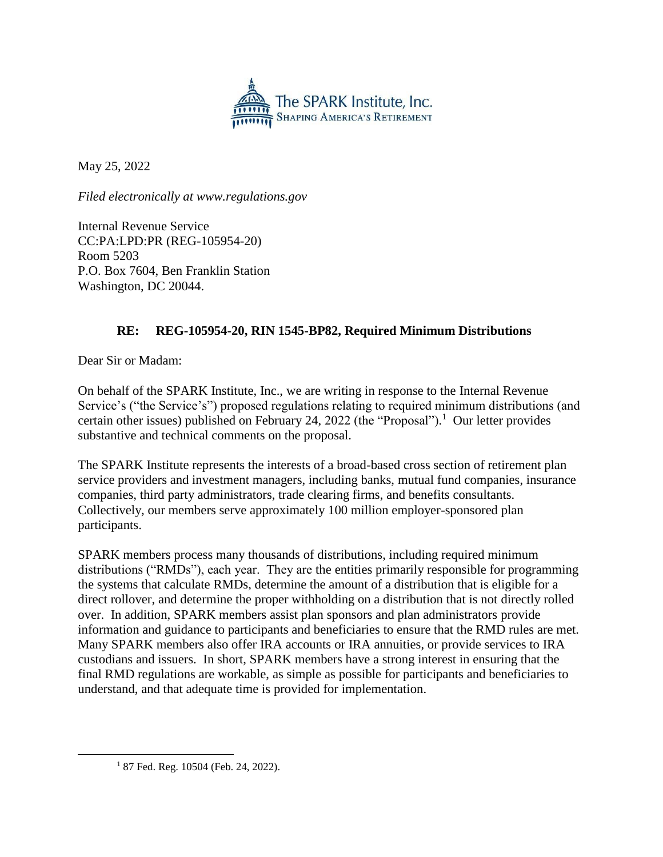

May 25, 2022

*Filed electronically at www.regulations.gov*

Internal Revenue Service CC:PA:LPD:PR (REG-105954-20) Room 5203 P.O. Box 7604, Ben Franklin Station Washington, DC 20044.

### **RE: REG-105954-20, RIN 1545-BP82, Required Minimum Distributions**

Dear Sir or Madam:

On behalf of the SPARK Institute, Inc., we are writing in response to the Internal Revenue Service's ("the Service's") proposed regulations relating to required minimum distributions (and certain other issues) published on February 24, 2022 (the "Proposal").<sup>1</sup> Our letter provides substantive and technical comments on the proposal.

The SPARK Institute represents the interests of a broad-based cross section of retirement plan service providers and investment managers, including banks, mutual fund companies, insurance companies, third party administrators, trade clearing firms, and benefits consultants. Collectively, our members serve approximately 100 million employer-sponsored plan participants.

SPARK members process many thousands of distributions, including required minimum distributions ("RMDs"), each year. They are the entities primarily responsible for programming the systems that calculate RMDs, determine the amount of a distribution that is eligible for a direct rollover, and determine the proper withholding on a distribution that is not directly rolled over. In addition, SPARK members assist plan sponsors and plan administrators provide information and guidance to participants and beneficiaries to ensure that the RMD rules are met. Many SPARK members also offer IRA accounts or IRA annuities, or provide services to IRA custodians and issuers. In short, SPARK members have a strong interest in ensuring that the final RMD regulations are workable, as simple as possible for participants and beneficiaries to understand, and that adequate time is provided for implementation.

 $\overline{a}$ 

<sup>&</sup>lt;sup>1</sup> 87 Fed. Reg. 10504 (Feb. 24, 2022).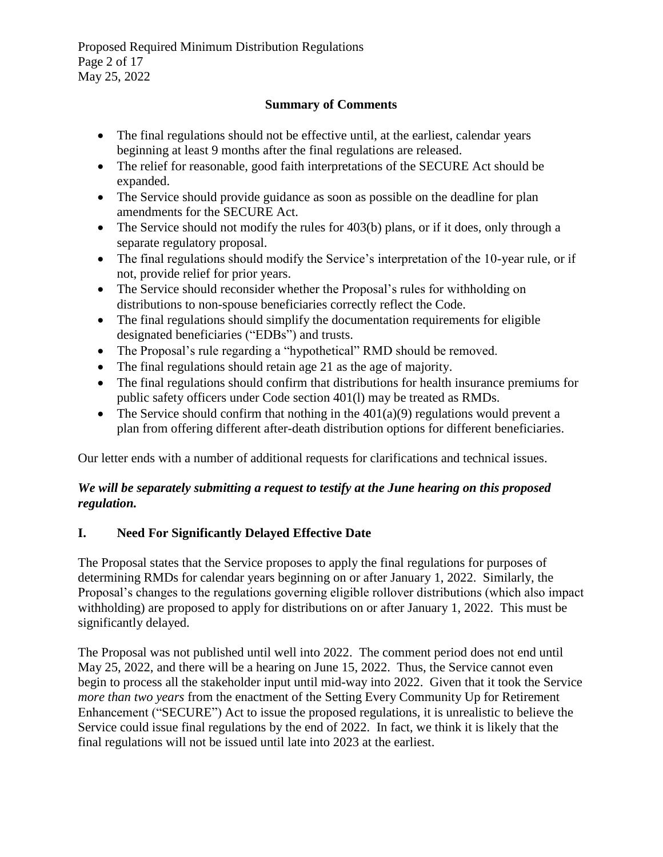Proposed Required Minimum Distribution Regulations Page 2 of 17 May 25, 2022

### **Summary of Comments**

- The final regulations should not be effective until, at the earliest, calendar years beginning at least 9 months after the final regulations are released.
- The relief for reasonable, good faith interpretations of the SECURE Act should be expanded.
- The Service should provide guidance as soon as possible on the deadline for plan amendments for the SECURE Act.
- The Service should not modify the rules for 403(b) plans, or if it does, only through a separate regulatory proposal.
- The final regulations should modify the Service's interpretation of the 10-year rule, or if not, provide relief for prior years.
- The Service should reconsider whether the Proposal's rules for withholding on distributions to non-spouse beneficiaries correctly reflect the Code.
- The final regulations should simplify the documentation requirements for eligible designated beneficiaries ("EDBs") and trusts.
- The Proposal's rule regarding a "hypothetical" RMD should be removed.
- The final regulations should retain age 21 as the age of majority.
- The final regulations should confirm that distributions for health insurance premiums for public safety officers under Code section 401(l) may be treated as RMDs.
- The Service should confirm that nothing in the  $401(a)(9)$  regulations would prevent a plan from offering different after-death distribution options for different beneficiaries.

Our letter ends with a number of additional requests for clarifications and technical issues.

### *We will be separately submitting a request to testify at the June hearing on this proposed regulation.*

### **I. Need For Significantly Delayed Effective Date**

The Proposal states that the Service proposes to apply the final regulations for purposes of determining RMDs for calendar years beginning on or after January 1, 2022. Similarly, the Proposal's changes to the regulations governing eligible rollover distributions (which also impact withholding) are proposed to apply for distributions on or after January 1, 2022. This must be significantly delayed.

The Proposal was not published until well into 2022. The comment period does not end until May 25, 2022, and there will be a hearing on June 15, 2022. Thus, the Service cannot even begin to process all the stakeholder input until mid-way into 2022. Given that it took the Service *more than two years* from the enactment of the Setting Every Community Up for Retirement Enhancement ("SECURE") Act to issue the proposed regulations, it is unrealistic to believe the Service could issue final regulations by the end of 2022. In fact, we think it is likely that the final regulations will not be issued until late into 2023 at the earliest.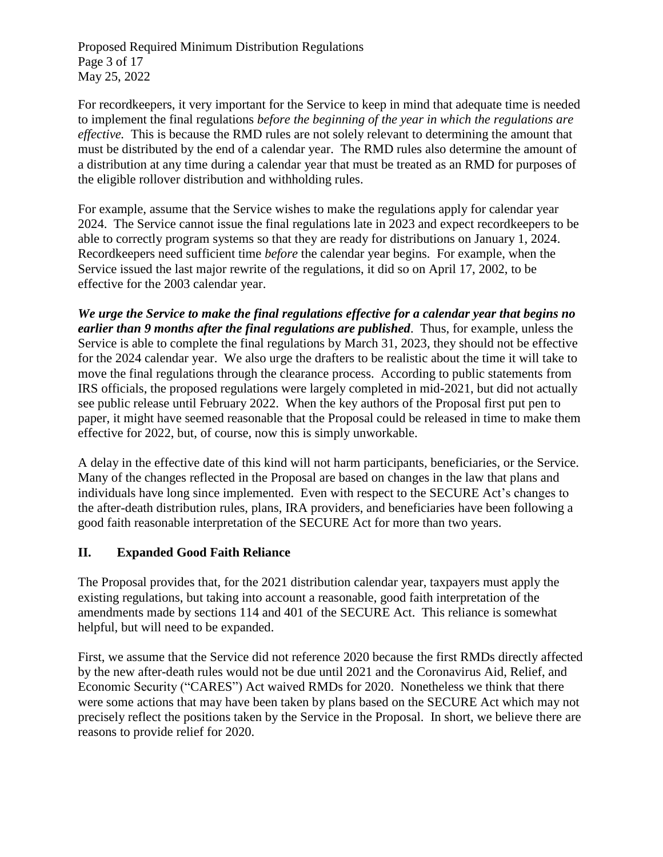Proposed Required Minimum Distribution Regulations Page 3 of 17 May 25, 2022

For recordkeepers, it very important for the Service to keep in mind that adequate time is needed to implement the final regulations *before the beginning of the year in which the regulations are effective.* This is because the RMD rules are not solely relevant to determining the amount that must be distributed by the end of a calendar year. The RMD rules also determine the amount of a distribution at any time during a calendar year that must be treated as an RMD for purposes of the eligible rollover distribution and withholding rules.

For example, assume that the Service wishes to make the regulations apply for calendar year 2024. The Service cannot issue the final regulations late in 2023 and expect recordkeepers to be able to correctly program systems so that they are ready for distributions on January 1, 2024. Recordkeepers need sufficient time *before* the calendar year begins. For example, when the Service issued the last major rewrite of the regulations, it did so on April 17, 2002, to be effective for the 2003 calendar year.

*We urge the Service to make the final regulations effective for a calendar year that begins no earlier than 9 months after the final regulations are published*. Thus, for example, unless the Service is able to complete the final regulations by March 31, 2023, they should not be effective for the 2024 calendar year. We also urge the drafters to be realistic about the time it will take to move the final regulations through the clearance process. According to public statements from IRS officials, the proposed regulations were largely completed in mid-2021, but did not actually see public release until February 2022. When the key authors of the Proposal first put pen to paper, it might have seemed reasonable that the Proposal could be released in time to make them effective for 2022, but, of course, now this is simply unworkable.

A delay in the effective date of this kind will not harm participants, beneficiaries, or the Service. Many of the changes reflected in the Proposal are based on changes in the law that plans and individuals have long since implemented. Even with respect to the SECURE Act's changes to the after-death distribution rules, plans, IRA providers, and beneficiaries have been following a good faith reasonable interpretation of the SECURE Act for more than two years.

### **II. Expanded Good Faith Reliance**

The Proposal provides that, for the 2021 distribution calendar year, taxpayers must apply the existing regulations, but taking into account a reasonable, good faith interpretation of the amendments made by sections 114 and 401 of the SECURE Act. This reliance is somewhat helpful, but will need to be expanded.

First, we assume that the Service did not reference 2020 because the first RMDs directly affected by the new after-death rules would not be due until 2021 and the Coronavirus Aid, Relief, and Economic Security ("CARES") Act waived RMDs for 2020. Nonetheless we think that there were some actions that may have been taken by plans based on the SECURE Act which may not precisely reflect the positions taken by the Service in the Proposal. In short, we believe there are reasons to provide relief for 2020.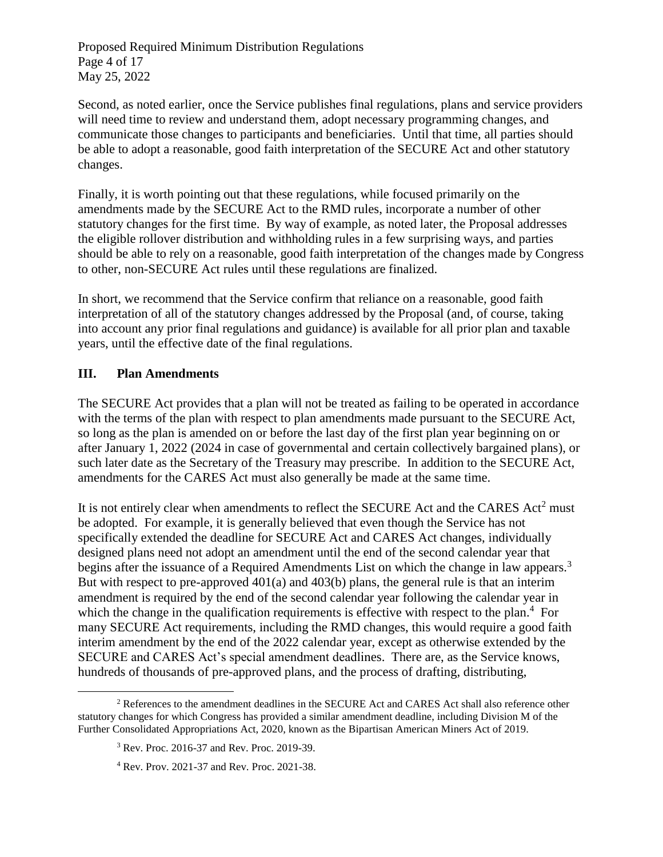Proposed Required Minimum Distribution Regulations Page 4 of 17 May 25, 2022

Second, as noted earlier, once the Service publishes final regulations, plans and service providers will need time to review and understand them, adopt necessary programming changes, and communicate those changes to participants and beneficiaries. Until that time, all parties should be able to adopt a reasonable, good faith interpretation of the SECURE Act and other statutory changes.

Finally, it is worth pointing out that these regulations, while focused primarily on the amendments made by the SECURE Act to the RMD rules, incorporate a number of other statutory changes for the first time. By way of example, as noted later, the Proposal addresses the eligible rollover distribution and withholding rules in a few surprising ways, and parties should be able to rely on a reasonable, good faith interpretation of the changes made by Congress to other, non-SECURE Act rules until these regulations are finalized.

In short, we recommend that the Service confirm that reliance on a reasonable, good faith interpretation of all of the statutory changes addressed by the Proposal (and, of course, taking into account any prior final regulations and guidance) is available for all prior plan and taxable years, until the effective date of the final regulations.

#### **III. Plan Amendments**

The SECURE Act provides that a plan will not be treated as failing to be operated in accordance with the terms of the plan with respect to plan amendments made pursuant to the SECURE Act, so long as the plan is amended on or before the last day of the first plan year beginning on or after January 1, 2022 (2024 in case of governmental and certain collectively bargained plans), or such later date as the Secretary of the Treasury may prescribe. In addition to the SECURE Act, amendments for the CARES Act must also generally be made at the same time.

It is not entirely clear when amendments to reflect the SECURE Act and the CARES Act<sup>2</sup> must be adopted. For example, it is generally believed that even though the Service has not specifically extended the deadline for SECURE Act and CARES Act changes, individually designed plans need not adopt an amendment until the end of the second calendar year that begins after the issuance of a Required Amendments List on which the change in law appears.<sup>3</sup> But with respect to pre-approved 401(a) and 403(b) plans, the general rule is that an interim amendment is required by the end of the second calendar year following the calendar year in which the change in the qualification requirements is effective with respect to the plan.<sup>4</sup> For many SECURE Act requirements, including the RMD changes, this would require a good faith interim amendment by the end of the 2022 calendar year, except as otherwise extended by the SECURE and CARES Act's special amendment deadlines. There are, as the Service knows, hundreds of thousands of pre-approved plans, and the process of drafting, distributing,

 $\overline{a}$ <sup>2</sup> References to the amendment deadlines in the SECURE Act and CARES Act shall also reference other statutory changes for which Congress has provided a similar amendment deadline, including Division M of the Further Consolidated Appropriations Act, 2020, known as the Bipartisan American Miners Act of 2019.

<sup>3</sup> Rev. Proc. 2016-37 and Rev. Proc. 2019-39.

<sup>4</sup> Rev. Prov. 2021-37 and Rev. Proc. 2021-38.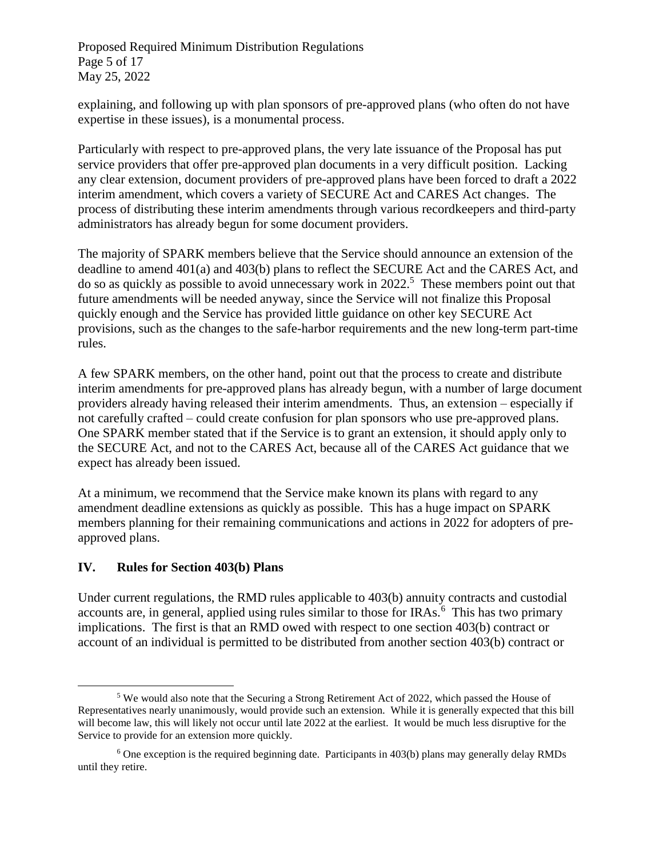Proposed Required Minimum Distribution Regulations Page 5 of 17 May 25, 2022

explaining, and following up with plan sponsors of pre-approved plans (who often do not have expertise in these issues), is a monumental process.

Particularly with respect to pre-approved plans, the very late issuance of the Proposal has put service providers that offer pre-approved plan documents in a very difficult position. Lacking any clear extension, document providers of pre-approved plans have been forced to draft a 2022 interim amendment, which covers a variety of SECURE Act and CARES Act changes. The process of distributing these interim amendments through various recordkeepers and third-party administrators has already begun for some document providers.

The majority of SPARK members believe that the Service should announce an extension of the deadline to amend 401(a) and 403(b) plans to reflect the SECURE Act and the CARES Act, and do so as quickly as possible to avoid unnecessary work in 2022.<sup>5</sup> These members point out that future amendments will be needed anyway, since the Service will not finalize this Proposal quickly enough and the Service has provided little guidance on other key SECURE Act provisions, such as the changes to the safe-harbor requirements and the new long-term part-time rules.

A few SPARK members, on the other hand, point out that the process to create and distribute interim amendments for pre-approved plans has already begun, with a number of large document providers already having released their interim amendments. Thus, an extension – especially if not carefully crafted – could create confusion for plan sponsors who use pre-approved plans. One SPARK member stated that if the Service is to grant an extension, it should apply only to the SECURE Act, and not to the CARES Act, because all of the CARES Act guidance that we expect has already been issued.

At a minimum, we recommend that the Service make known its plans with regard to any amendment deadline extensions as quickly as possible. This has a huge impact on SPARK members planning for their remaining communications and actions in 2022 for adopters of preapproved plans.

### **IV. Rules for Section 403(b) Plans**

 $\overline{a}$ 

Under current regulations, the RMD rules applicable to 403(b) annuity contracts and custodial accounts are, in general, applied using rules similar to those for IRAs. $<sup>6</sup>$  This has two primary</sup> implications. The first is that an RMD owed with respect to one section 403(b) contract or account of an individual is permitted to be distributed from another section 403(b) contract or

<sup>5</sup> We would also note that the Securing a Strong Retirement Act of 2022, which passed the House of Representatives nearly unanimously, would provide such an extension. While it is generally expected that this bill will become law, this will likely not occur until late 2022 at the earliest. It would be much less disruptive for the Service to provide for an extension more quickly.

 $6$  One exception is the required beginning date. Participants in 403(b) plans may generally delay RMDs until they retire.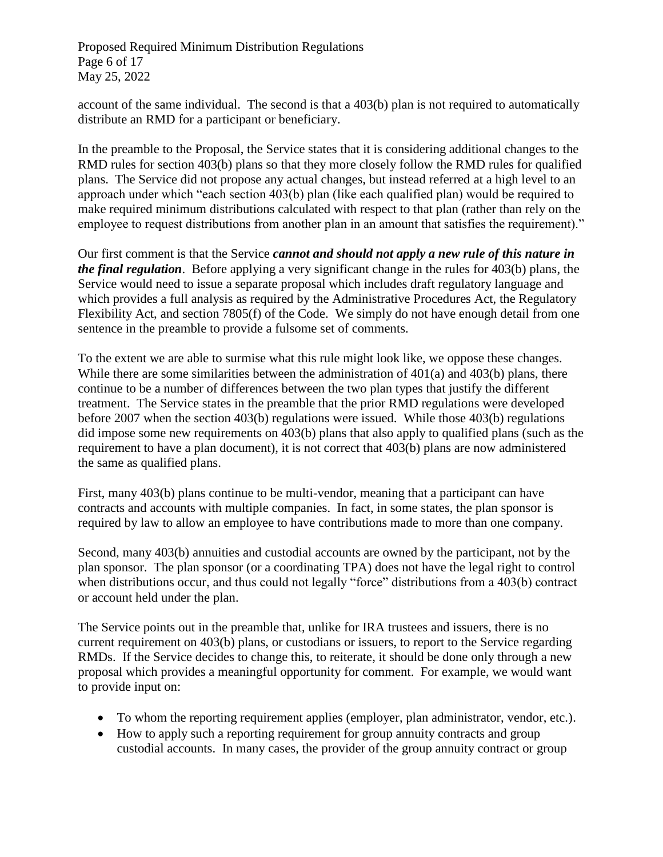Proposed Required Minimum Distribution Regulations Page 6 of 17 May 25, 2022

account of the same individual. The second is that a 403(b) plan is not required to automatically distribute an RMD for a participant or beneficiary.

In the preamble to the Proposal, the Service states that it is considering additional changes to the RMD rules for section 403(b) plans so that they more closely follow the RMD rules for qualified plans. The Service did not propose any actual changes, but instead referred at a high level to an approach under which "each section 403(b) plan (like each qualified plan) would be required to make required minimum distributions calculated with respect to that plan (rather than rely on the employee to request distributions from another plan in an amount that satisfies the requirement)."

Our first comment is that the Service *cannot and should not apply a new rule of this nature in the final regulation*. Before applying a very significant change in the rules for 403(b) plans, the Service would need to issue a separate proposal which includes draft regulatory language and which provides a full analysis as required by the Administrative Procedures Act, the Regulatory Flexibility Act, and section 7805(f) of the Code. We simply do not have enough detail from one sentence in the preamble to provide a fulsome set of comments.

To the extent we are able to surmise what this rule might look like, we oppose these changes. While there are some similarities between the administration of 401(a) and 403(b) plans, there continue to be a number of differences between the two plan types that justify the different treatment. The Service states in the preamble that the prior RMD regulations were developed before 2007 when the section 403(b) regulations were issued. While those 403(b) regulations did impose some new requirements on 403(b) plans that also apply to qualified plans (such as the requirement to have a plan document), it is not correct that 403(b) plans are now administered the same as qualified plans.

First, many 403(b) plans continue to be multi-vendor, meaning that a participant can have contracts and accounts with multiple companies. In fact, in some states, the plan sponsor is required by law to allow an employee to have contributions made to more than one company.

Second, many 403(b) annuities and custodial accounts are owned by the participant, not by the plan sponsor. The plan sponsor (or a coordinating TPA) does not have the legal right to control when distributions occur, and thus could not legally "force" distributions from a 403(b) contract or account held under the plan.

The Service points out in the preamble that, unlike for IRA trustees and issuers, there is no current requirement on 403(b) plans, or custodians or issuers, to report to the Service regarding RMDs. If the Service decides to change this, to reiterate, it should be done only through a new proposal which provides a meaningful opportunity for comment. For example, we would want to provide input on:

- To whom the reporting requirement applies (employer, plan administrator, vendor, etc.).
- How to apply such a reporting requirement for group annuity contracts and group custodial accounts. In many cases, the provider of the group annuity contract or group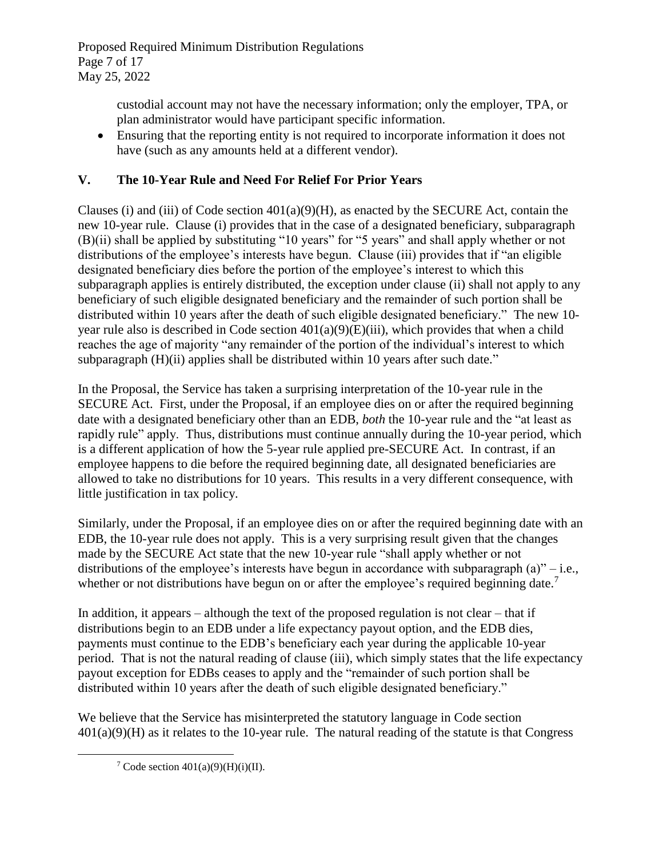custodial account may not have the necessary information; only the employer, TPA, or plan administrator would have participant specific information.

• Ensuring that the reporting entity is not required to incorporate information it does not have (such as any amounts held at a different vendor).

# **V. The 10-Year Rule and Need For Relief For Prior Years**

Clauses (i) and (iii) of Code section  $401(a)(9)(H)$ , as enacted by the SECURE Act, contain the new 10-year rule. Clause (i) provides that in the case of a designated beneficiary, subparagraph (B)(ii) shall be applied by substituting "10 years" for "5 years" and shall apply whether or not distributions of the employee's interests have begun. Clause (iii) provides that if "an eligible designated beneficiary dies before the portion of the employee's interest to which this subparagraph applies is entirely distributed, the exception under clause (ii) shall not apply to any beneficiary of such eligible designated beneficiary and the remainder of such portion shall be distributed within 10 years after the death of such eligible designated beneficiary." The new 10 year rule also is described in Code section  $401(a)(9)(E)(iii)$ , which provides that when a child reaches the age of majority "any remainder of the portion of the individual's interest to which subparagraph (H)(ii) applies shall be distributed within 10 years after such date."

In the Proposal, the Service has taken a surprising interpretation of the 10-year rule in the SECURE Act. First, under the Proposal, if an employee dies on or after the required beginning date with a designated beneficiary other than an EDB, *both* the 10-year rule and the "at least as rapidly rule" apply. Thus, distributions must continue annually during the 10-year period, which is a different application of how the 5-year rule applied pre-SECURE Act. In contrast, if an employee happens to die before the required beginning date, all designated beneficiaries are allowed to take no distributions for 10 years. This results in a very different consequence, with little justification in tax policy.

Similarly, under the Proposal, if an employee dies on or after the required beginning date with an EDB, the 10-year rule does not apply. This is a very surprising result given that the changes made by the SECURE Act state that the new 10-year rule "shall apply whether or not distributions of the employee's interests have begun in accordance with subparagraph  $(a)$ " – i.e., whether or not distributions have begun on or after the employee's required beginning date.<sup>7</sup>

In addition, it appears – although the text of the proposed regulation is not clear – that if distributions begin to an EDB under a life expectancy payout option, and the EDB dies, payments must continue to the EDB's beneficiary each year during the applicable 10-year period. That is not the natural reading of clause (iii), which simply states that the life expectancy payout exception for EDBs ceases to apply and the "remainder of such portion shall be distributed within 10 years after the death of such eligible designated beneficiary."

We believe that the Service has misinterpreted the statutory language in Code section  $401(a)(9)$ (H) as it relates to the 10-year rule. The natural reading of the statute is that Congress

 $\overline{a}$ 

<sup>&</sup>lt;sup>7</sup> Code section  $401(a)(9)(H)(i)(II)$ .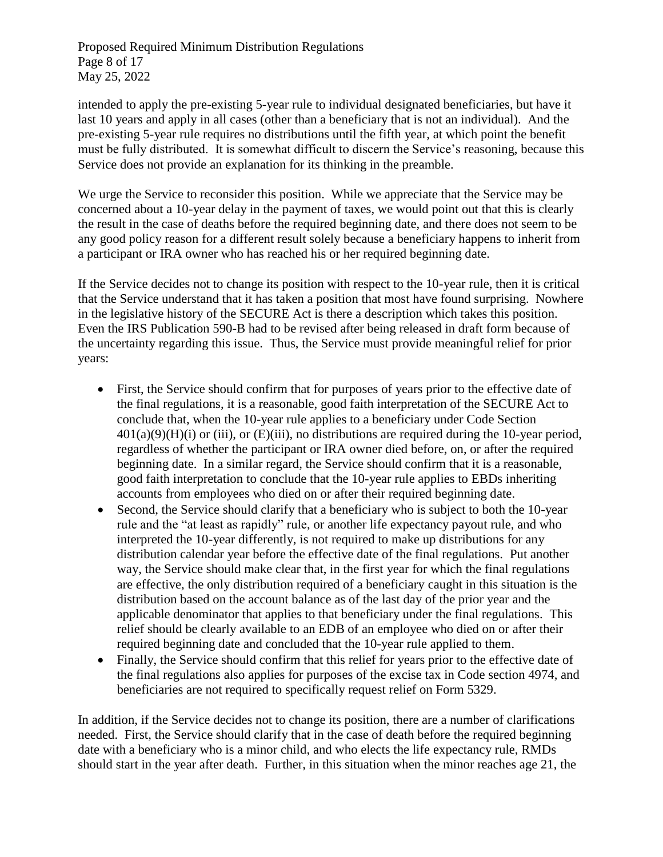Proposed Required Minimum Distribution Regulations Page 8 of 17 May 25, 2022

intended to apply the pre-existing 5-year rule to individual designated beneficiaries, but have it last 10 years and apply in all cases (other than a beneficiary that is not an individual). And the pre-existing 5-year rule requires no distributions until the fifth year, at which point the benefit must be fully distributed. It is somewhat difficult to discern the Service's reasoning, because this Service does not provide an explanation for its thinking in the preamble.

We urge the Service to reconsider this position. While we appreciate that the Service may be concerned about a 10-year delay in the payment of taxes, we would point out that this is clearly the result in the case of deaths before the required beginning date, and there does not seem to be any good policy reason for a different result solely because a beneficiary happens to inherit from a participant or IRA owner who has reached his or her required beginning date.

If the Service decides not to change its position with respect to the 10-year rule, then it is critical that the Service understand that it has taken a position that most have found surprising. Nowhere in the legislative history of the SECURE Act is there a description which takes this position. Even the IRS Publication 590-B had to be revised after being released in draft form because of the uncertainty regarding this issue. Thus, the Service must provide meaningful relief for prior years:

- First, the Service should confirm that for purposes of years prior to the effective date of the final regulations, it is a reasonable, good faith interpretation of the SECURE Act to conclude that, when the 10-year rule applies to a beneficiary under Code Section  $401(a)(9)(H)(i)$  or (iii), or (E)(iii), no distributions are required during the 10-year period, regardless of whether the participant or IRA owner died before, on, or after the required beginning date. In a similar regard, the Service should confirm that it is a reasonable, good faith interpretation to conclude that the 10-year rule applies to EBDs inheriting accounts from employees who died on or after their required beginning date.
- Second, the Service should clarify that a beneficiary who is subject to both the 10-year rule and the "at least as rapidly" rule, or another life expectancy payout rule, and who interpreted the 10-year differently, is not required to make up distributions for any distribution calendar year before the effective date of the final regulations. Put another way, the Service should make clear that, in the first year for which the final regulations are effective, the only distribution required of a beneficiary caught in this situation is the distribution based on the account balance as of the last day of the prior year and the applicable denominator that applies to that beneficiary under the final regulations. This relief should be clearly available to an EDB of an employee who died on or after their required beginning date and concluded that the 10-year rule applied to them.
- Finally, the Service should confirm that this relief for years prior to the effective date of the final regulations also applies for purposes of the excise tax in Code section 4974, and beneficiaries are not required to specifically request relief on Form 5329.

In addition, if the Service decides not to change its position, there are a number of clarifications needed. First, the Service should clarify that in the case of death before the required beginning date with a beneficiary who is a minor child, and who elects the life expectancy rule, RMDs should start in the year after death. Further, in this situation when the minor reaches age 21, the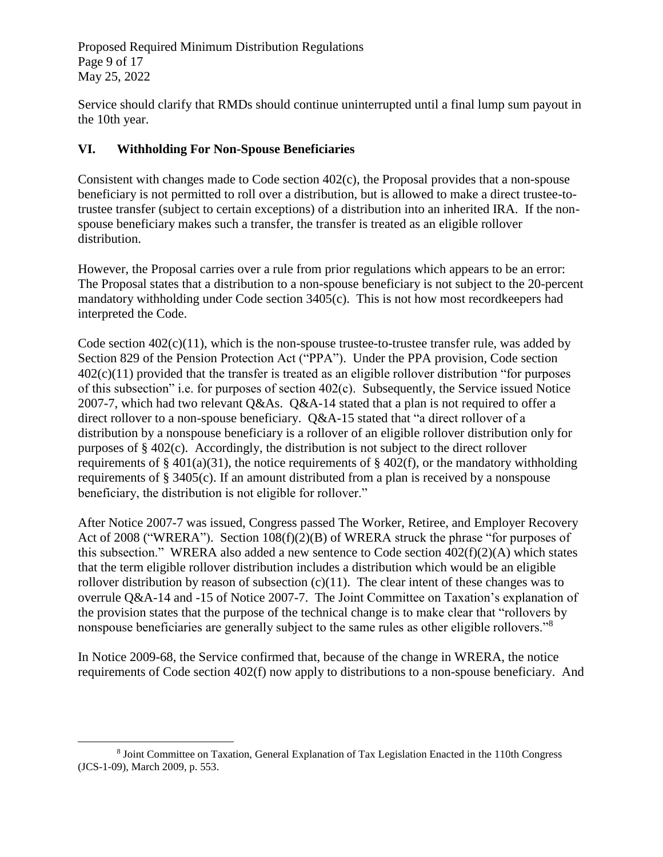Proposed Required Minimum Distribution Regulations Page 9 of 17 May 25, 2022

Service should clarify that RMDs should continue uninterrupted until a final lump sum payout in the 10th year.

### **VI. Withholding For Non-Spouse Beneficiaries**

Consistent with changes made to Code section 402(c), the Proposal provides that a non-spouse beneficiary is not permitted to roll over a distribution, but is allowed to make a direct trustee-totrustee transfer (subject to certain exceptions) of a distribution into an inherited IRA. If the nonspouse beneficiary makes such a transfer, the transfer is treated as an eligible rollover distribution.

However, the Proposal carries over a rule from prior regulations which appears to be an error: The Proposal states that a distribution to a non-spouse beneficiary is not subject to the 20-percent mandatory withholding under Code section 3405(c). This is not how most recordkeepers had interpreted the Code.

Code section  $402(c)(11)$ , which is the non-spouse trustee-to-trustee transfer rule, was added by Section 829 of the Pension Protection Act ("PPA"). Under the PPA provision, Code section 402(c)(11) provided that the transfer is treated as an eligible rollover distribution "for purposes of this subsection" i.e. for purposes of section 402(c). Subsequently, the Service issued Notice 2007-7, which had two relevant Q&As. Q&A-14 stated that a plan is not required to offer a direct rollover to a non-spouse beneficiary. Q&A-15 stated that "a direct rollover of a distribution by a nonspouse beneficiary is a rollover of an eligible rollover distribution only for purposes of § 402(c). Accordingly, the distribution is not subject to the direct rollover requirements of § 401(a)(31), the notice requirements of § 402(f), or the mandatory withholding requirements of § 3405(c). If an amount distributed from a plan is received by a nonspouse beneficiary, the distribution is not eligible for rollover."

After Notice 2007-7 was issued, Congress passed The Worker, Retiree, and Employer Recovery Act of 2008 ("WRERA"). Section 108(f)(2)(B) of WRERA struck the phrase "for purposes of this subsection." WRERA also added a new sentence to Code section  $402(f)(2)(A)$  which states that the term eligible rollover distribution includes a distribution which would be an eligible rollover distribution by reason of subsection  $(c)(11)$ . The clear intent of these changes was to overrule Q&A-14 and -15 of Notice 2007-7. The Joint Committee on Taxation's explanation of the provision states that the purpose of the technical change is to make clear that "rollovers by nonspouse beneficiaries are generally subject to the same rules as other eligible rollovers."<sup>8</sup>

In Notice 2009-68, the Service confirmed that, because of the change in WRERA, the notice requirements of Code section 402(f) now apply to distributions to a non-spouse beneficiary. And

 $\overline{a}$ 

<sup>8</sup> Joint Committee on Taxation, General Explanation of Tax Legislation Enacted in the 110th Congress (JCS-1-09), March 2009, p. 553.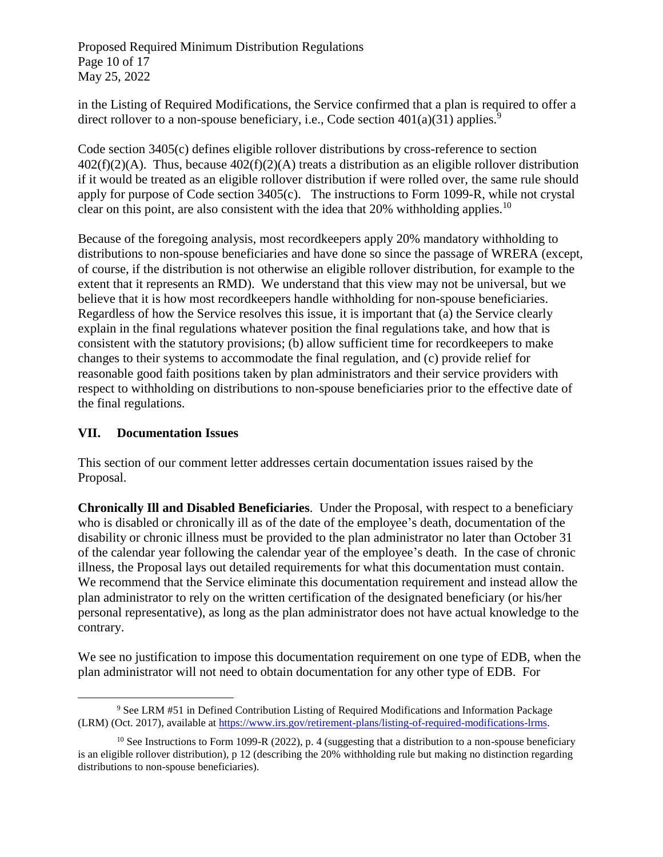Proposed Required Minimum Distribution Regulations Page 10 of 17 May 25, 2022

in the Listing of Required Modifications, the Service confirmed that a plan is required to offer a direct rollover to a non-spouse beneficiary, i.e., Code section  $401(a)(31)$  applies.<sup>9</sup>

Code section 3405(c) defines eligible rollover distributions by cross-reference to section  $402(f)(2)(A)$ . Thus, because  $402(f)(2)(A)$  treats a distribution as an eligible rollover distribution if it would be treated as an eligible rollover distribution if were rolled over, the same rule should apply for purpose of Code section 3405(c). The instructions to Form 1099-R, while not crystal clear on this point, are also consistent with the idea that  $20\%$  withholding applies.<sup>10</sup>

Because of the foregoing analysis, most recordkeepers apply 20% mandatory withholding to distributions to non-spouse beneficiaries and have done so since the passage of WRERA (except, of course, if the distribution is not otherwise an eligible rollover distribution, for example to the extent that it represents an RMD). We understand that this view may not be universal, but we believe that it is how most recordkeepers handle withholding for non-spouse beneficiaries. Regardless of how the Service resolves this issue, it is important that (a) the Service clearly explain in the final regulations whatever position the final regulations take, and how that is consistent with the statutory provisions; (b) allow sufficient time for recordkeepers to make changes to their systems to accommodate the final regulation, and (c) provide relief for reasonable good faith positions taken by plan administrators and their service providers with respect to withholding on distributions to non-spouse beneficiaries prior to the effective date of the final regulations.

#### **VII. Documentation Issues**

This section of our comment letter addresses certain documentation issues raised by the Proposal.

**Chronically Ill and Disabled Beneficiaries**. Under the Proposal, with respect to a beneficiary who is disabled or chronically ill as of the date of the employee's death, documentation of the disability or chronic illness must be provided to the plan administrator no later than October 31 of the calendar year following the calendar year of the employee's death. In the case of chronic illness, the Proposal lays out detailed requirements for what this documentation must contain. We recommend that the Service eliminate this documentation requirement and instead allow the plan administrator to rely on the written certification of the designated beneficiary (or his/her personal representative), as long as the plan administrator does not have actual knowledge to the contrary.

We see no justification to impose this documentation requirement on one type of EDB, when the plan administrator will not need to obtain documentation for any other type of EDB. For

 $\overline{a}$ <sup>9</sup> See LRM #51 in Defined Contribution Listing of Required Modifications and Information Package (LRM) (Oct. 2017), available at [https://www.irs.gov/retirement-plans/listing-of-required-modifications-lrms.](https://www.irs.gov/retirement-plans/listing-of-required-modifications-lrms) 

 $10$  See Instructions to Form 1099-R (2022), p. 4 (suggesting that a distribution to a non-spouse beneficiary is an eligible rollover distribution), p 12 (describing the 20% withholding rule but making no distinction regarding distributions to non-spouse beneficiaries).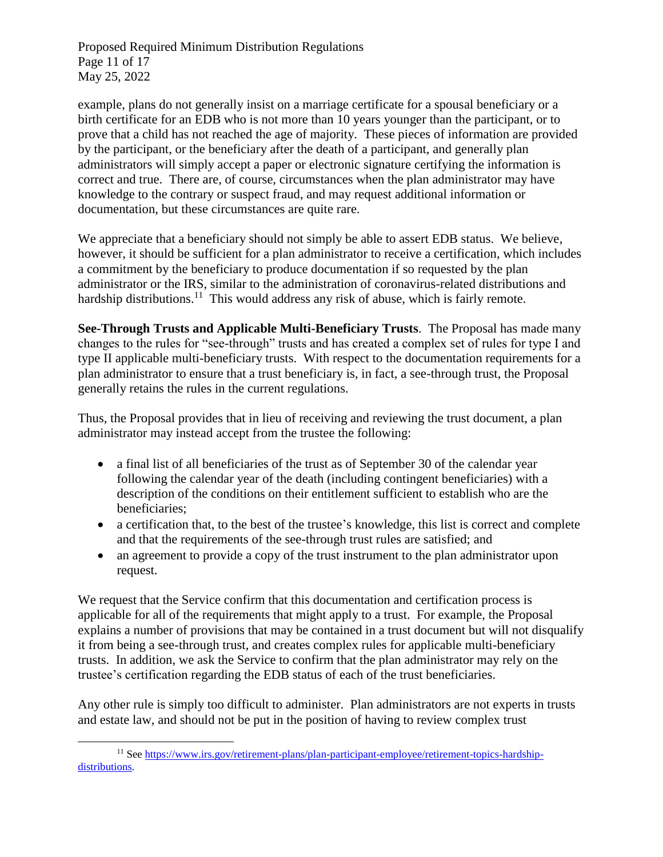Proposed Required Minimum Distribution Regulations Page 11 of 17 May 25, 2022

example, plans do not generally insist on a marriage certificate for a spousal beneficiary or a birth certificate for an EDB who is not more than 10 years younger than the participant, or to prove that a child has not reached the age of majority. These pieces of information are provided by the participant, or the beneficiary after the death of a participant, and generally plan administrators will simply accept a paper or electronic signature certifying the information is correct and true. There are, of course, circumstances when the plan administrator may have knowledge to the contrary or suspect fraud, and may request additional information or documentation, but these circumstances are quite rare.

We appreciate that a beneficiary should not simply be able to assert EDB status. We believe, however, it should be sufficient for a plan administrator to receive a certification, which includes a commitment by the beneficiary to produce documentation if so requested by the plan administrator or the IRS, similar to the administration of coronavirus-related distributions and hardship distributions.<sup>11</sup> This would address any risk of abuse, which is fairly remote.

**See-Through Trusts and Applicable Multi-Beneficiary Trusts**. The Proposal has made many changes to the rules for "see-through" trusts and has created a complex set of rules for type I and type II applicable multi-beneficiary trusts. With respect to the documentation requirements for a plan administrator to ensure that a trust beneficiary is, in fact, a see-through trust, the Proposal generally retains the rules in the current regulations.

Thus, the Proposal provides that in lieu of receiving and reviewing the trust document, a plan administrator may instead accept from the trustee the following:

- a final list of all beneficiaries of the trust as of September 30 of the calendar year following the calendar year of the death (including contingent beneficiaries) with a description of the conditions on their entitlement sufficient to establish who are the beneficiaries;
- a certification that, to the best of the trustee's knowledge, this list is correct and complete and that the requirements of the see-through trust rules are satisfied; and
- an agreement to provide a copy of the trust instrument to the plan administrator upon request.

We request that the Service confirm that this documentation and certification process is applicable for all of the requirements that might apply to a trust. For example, the Proposal explains a number of provisions that may be contained in a trust document but will not disqualify it from being a see-through trust, and creates complex rules for applicable multi-beneficiary trusts. In addition, we ask the Service to confirm that the plan administrator may rely on the trustee's certification regarding the EDB status of each of the trust beneficiaries.

Any other rule is simply too difficult to administer. Plan administrators are not experts in trusts and estate law, and should not be put in the position of having to review complex trust

 $\overline{a}$ <sup>11</sup> See [https://www.irs.gov/retirement-plans/plan-participant-employee/retirement-topics-hardship](https://www.irs.gov/retirement-plans/plan-participant-employee/retirement-topics-hardship-distributions)[distributions.](https://www.irs.gov/retirement-plans/plan-participant-employee/retirement-topics-hardship-distributions)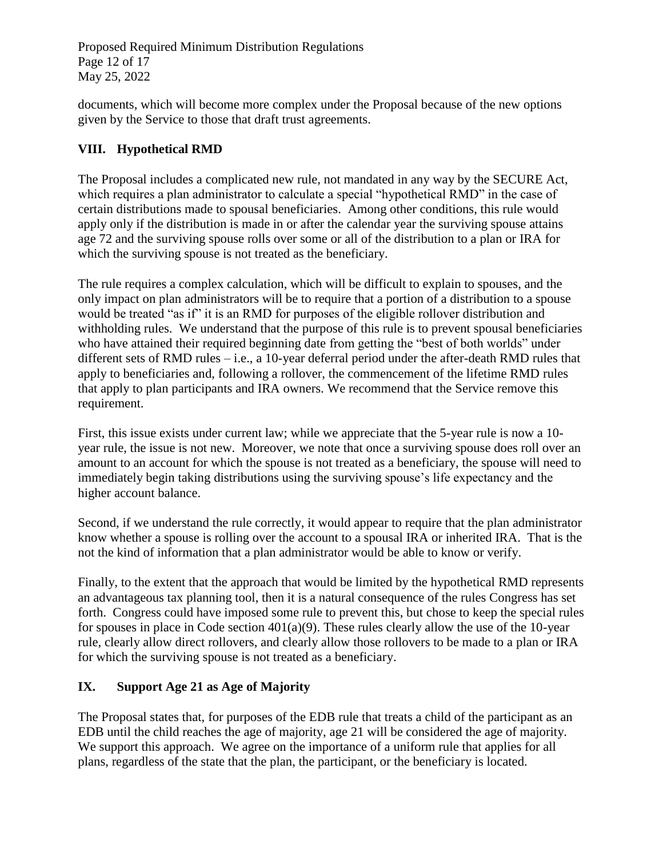Proposed Required Minimum Distribution Regulations Page 12 of 17 May 25, 2022

documents, which will become more complex under the Proposal because of the new options given by the Service to those that draft trust agreements.

## **VIII. Hypothetical RMD**

The Proposal includes a complicated new rule, not mandated in any way by the SECURE Act, which requires a plan administrator to calculate a special "hypothetical RMD" in the case of certain distributions made to spousal beneficiaries. Among other conditions, this rule would apply only if the distribution is made in or after the calendar year the surviving spouse attains age 72 and the surviving spouse rolls over some or all of the distribution to a plan or IRA for which the surviving spouse is not treated as the beneficiary.

The rule requires a complex calculation, which will be difficult to explain to spouses, and the only impact on plan administrators will be to require that a portion of a distribution to a spouse would be treated "as if" it is an RMD for purposes of the eligible rollover distribution and withholding rules. We understand that the purpose of this rule is to prevent spousal beneficiaries who have attained their required beginning date from getting the "best of both worlds" under different sets of RMD rules – i.e., a 10-year deferral period under the after-death RMD rules that apply to beneficiaries and, following a rollover, the commencement of the lifetime RMD rules that apply to plan participants and IRA owners. We recommend that the Service remove this requirement.

First, this issue exists under current law; while we appreciate that the 5-year rule is now a 10 year rule, the issue is not new. Moreover, we note that once a surviving spouse does roll over an amount to an account for which the spouse is not treated as a beneficiary, the spouse will need to immediately begin taking distributions using the surviving spouse's life expectancy and the higher account balance.

Second, if we understand the rule correctly, it would appear to require that the plan administrator know whether a spouse is rolling over the account to a spousal IRA or inherited IRA. That is the not the kind of information that a plan administrator would be able to know or verify.

Finally, to the extent that the approach that would be limited by the hypothetical RMD represents an advantageous tax planning tool, then it is a natural consequence of the rules Congress has set forth. Congress could have imposed some rule to prevent this, but chose to keep the special rules for spouses in place in Code section  $401(a)(9)$ . These rules clearly allow the use of the 10-year rule, clearly allow direct rollovers, and clearly allow those rollovers to be made to a plan or IRA for which the surviving spouse is not treated as a beneficiary.

# **IX. Support Age 21 as Age of Majority**

The Proposal states that, for purposes of the EDB rule that treats a child of the participant as an EDB until the child reaches the age of majority, age 21 will be considered the age of majority. We support this approach. We agree on the importance of a uniform rule that applies for all plans, regardless of the state that the plan, the participant, or the beneficiary is located.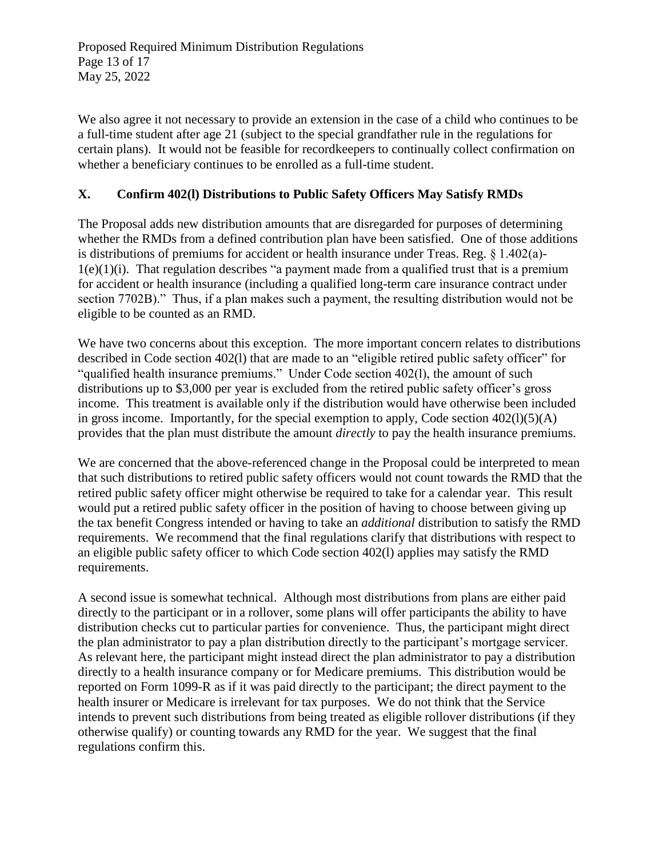We also agree it not necessary to provide an extension in the case of a child who continues to be a full-time student after age 21 (subject to the special grandfather rule in the regulations for certain plans). It would not be feasible for recordkeepers to continually collect confirmation on whether a beneficiary continues to be enrolled as a full-time student.

### **X. Confirm 402(l) Distributions to Public Safety Officers May Satisfy RMDs**

The Proposal adds new distribution amounts that are disregarded for purposes of determining whether the RMDs from a defined contribution plan have been satisfied. One of those additions is distributions of premiums for accident or health insurance under Treas. Reg. § 1.402(a)-  $1(e)(1)(i)$ . That regulation describes "a payment made from a qualified trust that is a premium for accident or health insurance (including a qualified long-term care insurance contract under section 7702B)." Thus, if a plan makes such a payment, the resulting distribution would not be eligible to be counted as an RMD.

We have two concerns about this exception. The more important concern relates to distributions described in Code section 402(l) that are made to an "eligible retired public safety officer" for "qualified health insurance premiums." Under Code section 402(l), the amount of such distributions up to \$3,000 per year is excluded from the retired public safety officer's gross income. This treatment is available only if the distribution would have otherwise been included in gross income. Importantly, for the special exemption to apply, Code section  $402(1)(5)(A)$ provides that the plan must distribute the amount *directly* to pay the health insurance premiums.

We are concerned that the above-referenced change in the Proposal could be interpreted to mean that such distributions to retired public safety officers would not count towards the RMD that the retired public safety officer might otherwise be required to take for a calendar year. This result would put a retired public safety officer in the position of having to choose between giving up the tax benefit Congress intended or having to take an *additional* distribution to satisfy the RMD requirements. We recommend that the final regulations clarify that distributions with respect to an eligible public safety officer to which Code section 402(l) applies may satisfy the RMD requirements.

A second issue is somewhat technical. Although most distributions from plans are either paid directly to the participant or in a rollover, some plans will offer participants the ability to have distribution checks cut to particular parties for convenience. Thus, the participant might direct the plan administrator to pay a plan distribution directly to the participant's mortgage servicer. As relevant here, the participant might instead direct the plan administrator to pay a distribution directly to a health insurance company or for Medicare premiums. This distribution would be reported on Form 1099-R as if it was paid directly to the participant; the direct payment to the health insurer or Medicare is irrelevant for tax purposes. We do not think that the Service intends to prevent such distributions from being treated as eligible rollover distributions (if they otherwise qualify) or counting towards any RMD for the year. We suggest that the final regulations confirm this.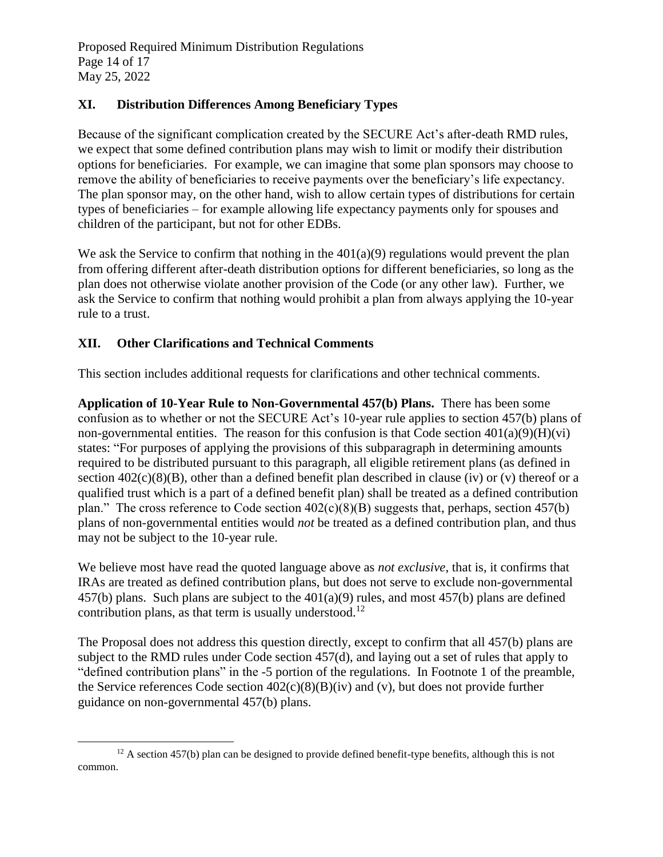Proposed Required Minimum Distribution Regulations Page 14 of 17 May 25, 2022

### **XI. Distribution Differences Among Beneficiary Types**

Because of the significant complication created by the SECURE Act's after-death RMD rules, we expect that some defined contribution plans may wish to limit or modify their distribution options for beneficiaries. For example, we can imagine that some plan sponsors may choose to remove the ability of beneficiaries to receive payments over the beneficiary's life expectancy. The plan sponsor may, on the other hand, wish to allow certain types of distributions for certain types of beneficiaries – for example allowing life expectancy payments only for spouses and children of the participant, but not for other EDBs.

We ask the Service to confirm that nothing in the  $401(a)(9)$  regulations would prevent the plan from offering different after-death distribution options for different beneficiaries, so long as the plan does not otherwise violate another provision of the Code (or any other law). Further, we ask the Service to confirm that nothing would prohibit a plan from always applying the 10-year rule to a trust.

### **XII. Other Clarifications and Technical Comments**

 $\overline{a}$ 

This section includes additional requests for clarifications and other technical comments.

**Application of 10-Year Rule to Non-Governmental 457(b) Plans.** There has been some confusion as to whether or not the SECURE Act's 10-year rule applies to section 457(b) plans of non-governmental entities. The reason for this confusion is that Code section  $401(a)(9)(H)(vi)$ states: "For purposes of applying the provisions of this subparagraph in determining amounts required to be distributed pursuant to this paragraph, all eligible retirement plans (as defined in section  $402(c)(8)(B)$ , other than a defined benefit plan described in clause (iv) or (v) thereof or a qualified trust which is a part of a defined benefit plan) shall be treated as a defined contribution plan." The cross reference to Code section  $402(c)(8)(B)$  suggests that, perhaps, section 457(b) plans of non-governmental entities would *not* be treated as a defined contribution plan, and thus may not be subject to the 10-year rule.

We believe most have read the quoted language above as *not exclusive*, that is, it confirms that IRAs are treated as defined contribution plans, but does not serve to exclude non-governmental 457(b) plans. Such plans are subject to the 401(a)(9) rules, and most 457(b) plans are defined contribution plans, as that term is usually understood.<sup>12</sup>

The Proposal does not address this question directly, except to confirm that all 457(b) plans are subject to the RMD rules under Code section 457(d), and laying out a set of rules that apply to "defined contribution plans" in the -5 portion of the regulations. In Footnote 1 of the preamble, the Service references Code section  $402(c)(8)(B)(iv)$  and (v), but does not provide further guidance on non-governmental 457(b) plans.

 $12$  A section 457(b) plan can be designed to provide defined benefit-type benefits, although this is not common.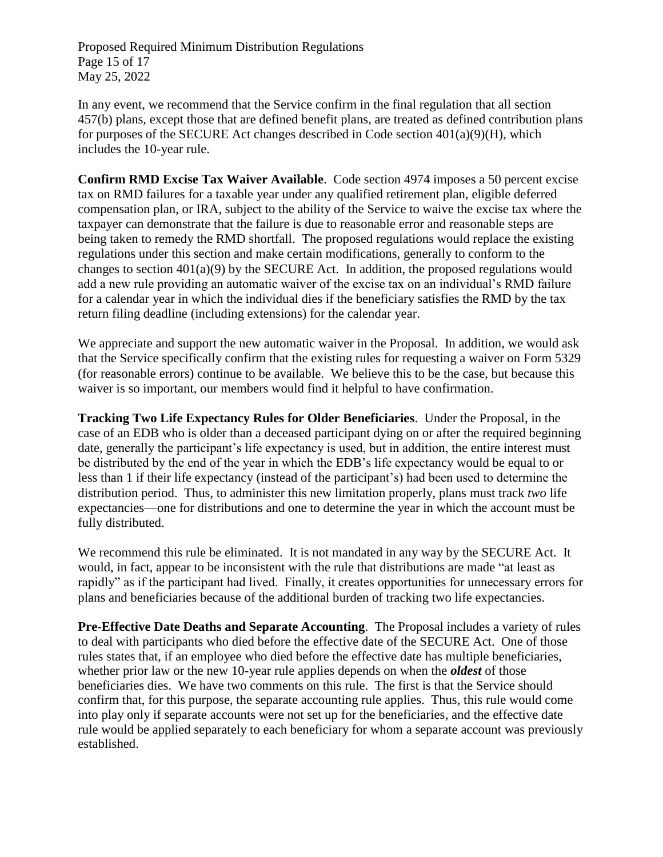Proposed Required Minimum Distribution Regulations Page 15 of 17 May 25, 2022

In any event, we recommend that the Service confirm in the final regulation that all section 457(b) plans, except those that are defined benefit plans, are treated as defined contribution plans for purposes of the SECURE Act changes described in Code section  $401(a)(9)(H)$ , which includes the 10-year rule.

**Confirm RMD Excise Tax Waiver Available**. Code section 4974 imposes a 50 percent excise tax on RMD failures for a taxable year under any qualified retirement plan, eligible deferred compensation plan, or IRA, subject to the ability of the Service to waive the excise tax where the taxpayer can demonstrate that the failure is due to reasonable error and reasonable steps are being taken to remedy the RMD shortfall. The proposed regulations would replace the existing regulations under this section and make certain modifications, generally to conform to the changes to section 401(a)(9) by the SECURE Act. In addition, the proposed regulations would add a new rule providing an automatic waiver of the excise tax on an individual's RMD failure for a calendar year in which the individual dies if the beneficiary satisfies the RMD by the tax return filing deadline (including extensions) for the calendar year.

We appreciate and support the new automatic waiver in the Proposal. In addition, we would ask that the Service specifically confirm that the existing rules for requesting a waiver on Form 5329 (for reasonable errors) continue to be available. We believe this to be the case, but because this waiver is so important, our members would find it helpful to have confirmation.

**Tracking Two Life Expectancy Rules for Older Beneficiaries**. Under the Proposal, in the case of an EDB who is older than a deceased participant dying on or after the required beginning date, generally the participant's life expectancy is used, but in addition, the entire interest must be distributed by the end of the year in which the EDB's life expectancy would be equal to or less than 1 if their life expectancy (instead of the participant's) had been used to determine the distribution period. Thus, to administer this new limitation properly, plans must track *two* life expectancies—one for distributions and one to determine the year in which the account must be fully distributed.

We recommend this rule be eliminated. It is not mandated in any way by the SECURE Act. It would, in fact, appear to be inconsistent with the rule that distributions are made "at least as rapidly" as if the participant had lived. Finally, it creates opportunities for unnecessary errors for plans and beneficiaries because of the additional burden of tracking two life expectancies.

**Pre-Effective Date Deaths and Separate Accounting**. The Proposal includes a variety of rules to deal with participants who died before the effective date of the SECURE Act. One of those rules states that, if an employee who died before the effective date has multiple beneficiaries, whether prior law or the new 10-year rule applies depends on when the *oldest* of those beneficiaries dies. We have two comments on this rule. The first is that the Service should confirm that, for this purpose, the separate accounting rule applies. Thus, this rule would come into play only if separate accounts were not set up for the beneficiaries, and the effective date rule would be applied separately to each beneficiary for whom a separate account was previously established.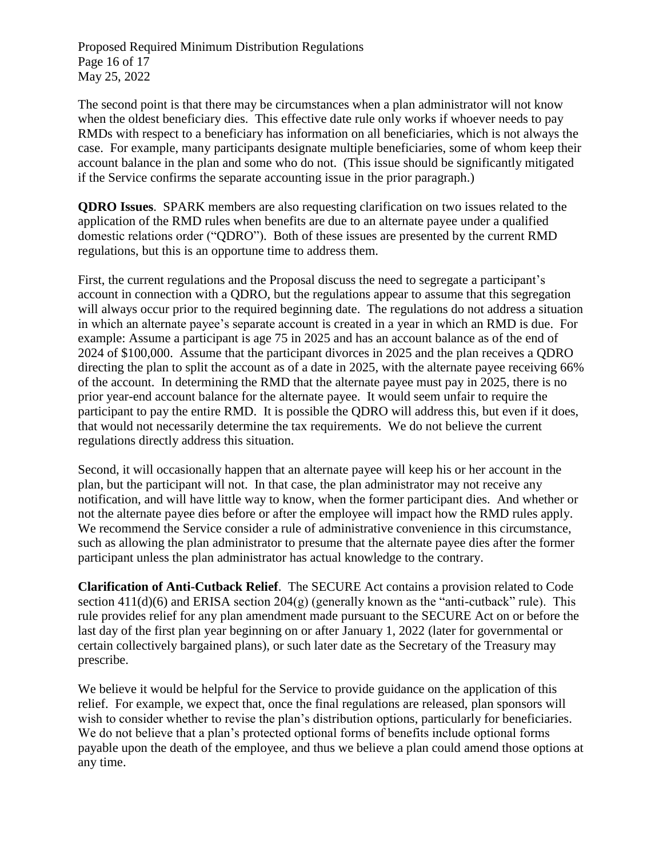Proposed Required Minimum Distribution Regulations Page 16 of 17 May 25, 2022

The second point is that there may be circumstances when a plan administrator will not know when the oldest beneficiary dies. This effective date rule only works if whoever needs to pay RMDs with respect to a beneficiary has information on all beneficiaries, which is not always the case. For example, many participants designate multiple beneficiaries, some of whom keep their account balance in the plan and some who do not. (This issue should be significantly mitigated if the Service confirms the separate accounting issue in the prior paragraph.)

**QDRO Issues**. SPARK members are also requesting clarification on two issues related to the application of the RMD rules when benefits are due to an alternate payee under a qualified domestic relations order ("QDRO"). Both of these issues are presented by the current RMD regulations, but this is an opportune time to address them.

First, the current regulations and the Proposal discuss the need to segregate a participant's account in connection with a QDRO, but the regulations appear to assume that this segregation will always occur prior to the required beginning date. The regulations do not address a situation in which an alternate payee's separate account is created in a year in which an RMD is due. For example: Assume a participant is age 75 in 2025 and has an account balance as of the end of 2024 of \$100,000. Assume that the participant divorces in 2025 and the plan receives a QDRO directing the plan to split the account as of a date in 2025, with the alternate payee receiving 66% of the account. In determining the RMD that the alternate payee must pay in 2025, there is no prior year-end account balance for the alternate payee. It would seem unfair to require the participant to pay the entire RMD. It is possible the QDRO will address this, but even if it does, that would not necessarily determine the tax requirements. We do not believe the current regulations directly address this situation.

Second, it will occasionally happen that an alternate payee will keep his or her account in the plan, but the participant will not. In that case, the plan administrator may not receive any notification, and will have little way to know, when the former participant dies. And whether or not the alternate payee dies before or after the employee will impact how the RMD rules apply. We recommend the Service consider a rule of administrative convenience in this circumstance, such as allowing the plan administrator to presume that the alternate payee dies after the former participant unless the plan administrator has actual knowledge to the contrary.

**Clarification of Anti-Cutback Relief**. The SECURE Act contains a provision related to Code section  $411(d)(6)$  and ERISA section  $204(g)$  (generally known as the "anti-cutback" rule). This rule provides relief for any plan amendment made pursuant to the SECURE Act on or before the last day of the first plan year beginning on or after January 1, 2022 (later for governmental or certain collectively bargained plans), or such later date as the Secretary of the Treasury may prescribe.

We believe it would be helpful for the Service to provide guidance on the application of this relief. For example, we expect that, once the final regulations are released, plan sponsors will wish to consider whether to revise the plan's distribution options, particularly for beneficiaries. We do not believe that a plan's protected optional forms of benefits include optional forms payable upon the death of the employee, and thus we believe a plan could amend those options at any time.